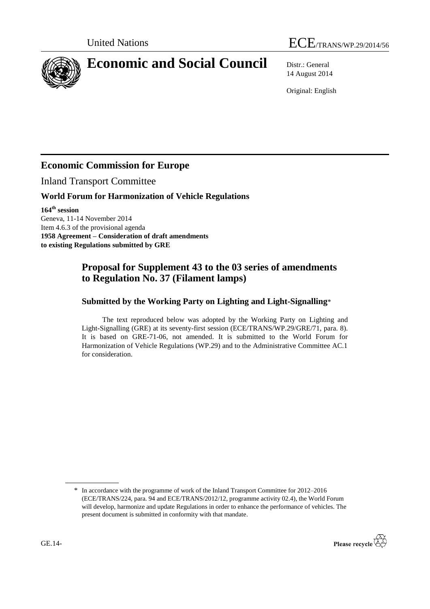



# **Economic and Social Council** Distr.: General

14 August 2014

Original: English

## **Economic Commission for Europe**

Inland Transport Committee

#### **World Forum for Harmonization of Vehicle Regulations**

**164 th session** Geneva, 11-14 November 2014 Item 4.6.3 of the provisional agenda **1958 Agreement – Consideration of draft amendments to existing Regulations submitted by GRE**

### **Proposal for Supplement 43 to the 03 series of amendments to Regulation No. 37 (Filament lamps)**

#### **Submitted by the Working Party on Lighting and Light-Signalling**\*

The text reproduced below was adopted by the Working Party on Lighting and Light-Signalling (GRE) at its seventy-first session (ECE/TRANS/WP.29/GRE/71, para. 8). It is based on GRE-71-06, not amended. It is submitted to the World Forum for Harmonization of Vehicle Regulations (WP.29) and to the Administrative Committee AC.1 for consideration.

<sup>\*</sup> In accordance with the programme of work of the Inland Transport Committee for 2012–2016 (ECE/TRANS/224, para. 94 and ECE/TRANS/2012/12, programme activity 02.4), the World Forum will develop, harmonize and update Regulations in order to enhance the performance of vehicles. The present document is submitted in conformity with that mandate.